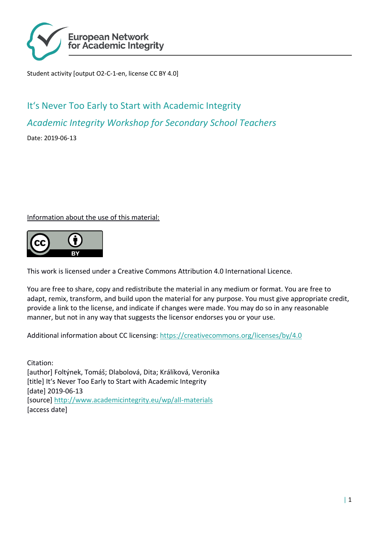

Student activity [output O2-C-1-en, license CC BY 4.0]

# It's Never Too Early to Start with Academic Integrity *Academic Integrity Workshop for Secondary School Teachers*

Date: 2019-06-13

Information about the use of this material:



This work is licensed under a Creative Commons Attribution 4.0 International Licence.

You are free to share, copy and redistribute the material in any medium or format. You are free to adapt, remix, transform, and build upon the material for any purpose. You must give appropriate credit, provide a link to the license, and indicate if changes were made. You may do so in any reasonable manner, but not in any way that suggests the licensor endorses you or your use.

Additional information about CC licensing:<https://creativecommons.org/licenses/by/4.0>

Citation: [author] Foltýnek, Tomáš; Dlabolová, Dita; Králíková, Veronika [title] It's Never Too Early to Start with Academic Integrity [date] 2019-06-13 [source]<http://www.academicintegrity.eu/wp/all-materials> [access date]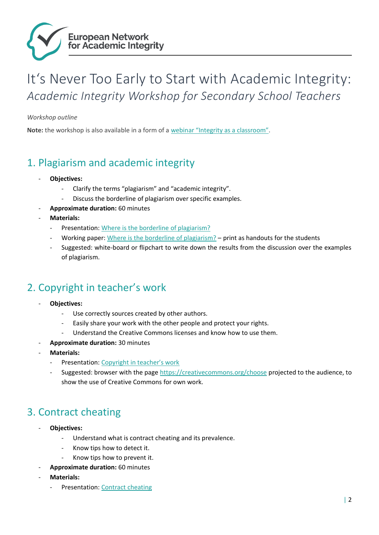

## It's Never Too Early to Start with Academic Integrity: *Academic Integrity Workshop for Secondary School Teachers*

*Workshop outline*

**Note:** the workshop is also available in a form of a [webinar "Integrity as a classroom"](http://www.academicintegrity.eu/wp/materials/integrity-in-classroom/).

#### 1. Plagiarism and academic integrity

- **Objectives:**
	- Clarify the terms "plagiarism" and "academic integrity".
	- Discuss the borderline of plagiarism over specific examples.
- **Approximate duration:** 60 minutes
- **Materials:** 
	- Presentation: [Where is the borderline of plagiarism?](http://www.academicintegrity.eu/wp/materials/where-is-the-borderline-of-plagiarism/)
	- Working paper: [Where is the borderline of plagiarism?](http://www.academicintegrity.eu/wp/materials/where-is-the-borderline-between-poor-academic-practice-and-plagiarism/) print as handouts for the students
	- Suggested: white-board or flipchart to write down the results from the discussion over the examples of plagiarism.

### 2. Copyright in teacher's work

- **Objectives:** 
	- Use correctly sources created by other authors.
	- Easily share your work with the other people and protect your rights.
	- Understand the Creative Commons licenses and know how to use them.
- **Approximate duration:** 30 minutes
- **Materials:** 
	- Presentation: [Copyright in teacher's work](http://www.academicintegrity.eu/wp/materials/copyright-in-teachers-work/)
	- Suggested: browser with the page<https://creativecommons.org/choose> projected to the audience, to show the use of Creative Commons for own work.

### 3. Contract cheating

- **Objectives:**
	- Understand what is contract cheating and its prevalence.
	- Know tips how to detect it.
	- Know tips how to prevent it.
	- **Approximate duration:** 60 minutes
- **Materials:** 
	- Presentation: [Contract cheating](http://www.academicintegrity.eu/wp/materials/how-to-deal-with-contract-cheating/)